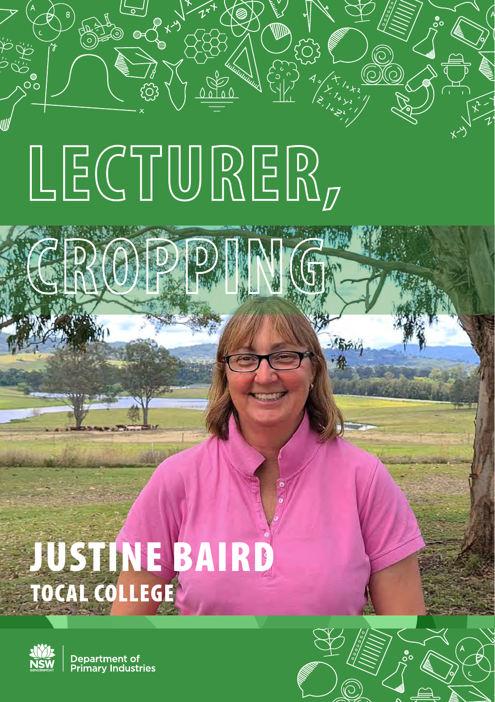# **LECTURER,**

**CROPPING**

## JUSTINE BAIRD TOCAL COLLEGE



္ပြဲစ

Department of **Primary Industries** 

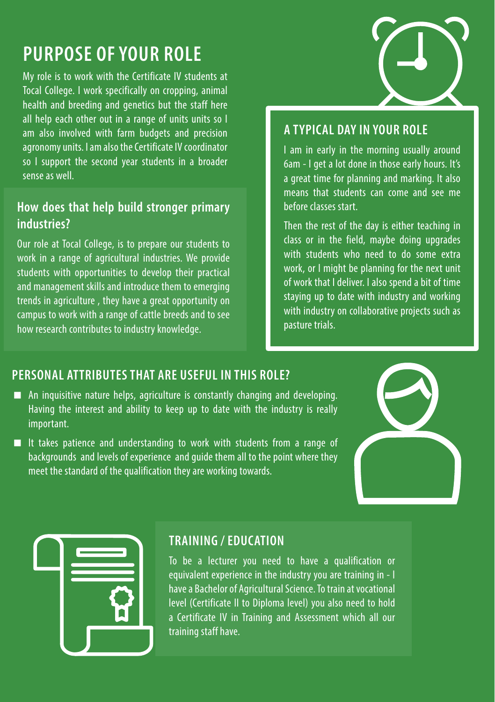### **PURPOSE OF YOUR ROLE**

My role is to work with the Certificate IV students at Tocal College. I work specifically on cropping, animal health and breeding and genetics but the staff here all help each other out in a range of units units so I am also involved with farm budgets and precision agronomy units. I am also the Certificate IV coordinator so I support the second year students in a broader sense as well.

#### **How does that help build stronger primary industries?**

Our role at Tocal College, is to prepare our students to work in a range of agricultural industries. We provide students with opportunities to develop their practical and management skills and introduce them to emerging trends in agriculture , they have a great opportunity on campus to work with a range of cattle breeds and to see how research contributes to industry knowledge.

#### **A TYPICAL DAY IN YOUR ROLE**

I am in early in the morning usually around 6am - I get a lot done in those early hours. It's a great time for planning and marking. It also means that students can come and see me before classes start.

Then the rest of the day is either teaching in class or in the field, maybe doing upgrades with students who need to do some extra work, or I might be planning for the next unit of work that I deliver. I also spend a bit of time staying up to date with industry and working with industry on collaborative projects such as pasture trials.

#### **PERSONAL ATTRIBUTES THAT ARE USEFUL IN THIS ROLE?**

- An inquisitive nature helps, agriculture is constantly changing and developing. Having the interest and ability to keep up to date with the industry is really important.
- It takes patience and understanding to work with students from a range of backgrounds and levels of experience and guide them all to the point where they meet the standard of the qualification they are working towards.





#### **TRAINING / EDUCATION**

To be a lecturer you need to have a qualification or equivalent experience in the industry you are training in - I have a Bachelor of Agricultural Science. To train at vocational level (Certificate II to Diploma level) you also need to hold a Certificate IV in Training and Assessment which all our training staff have.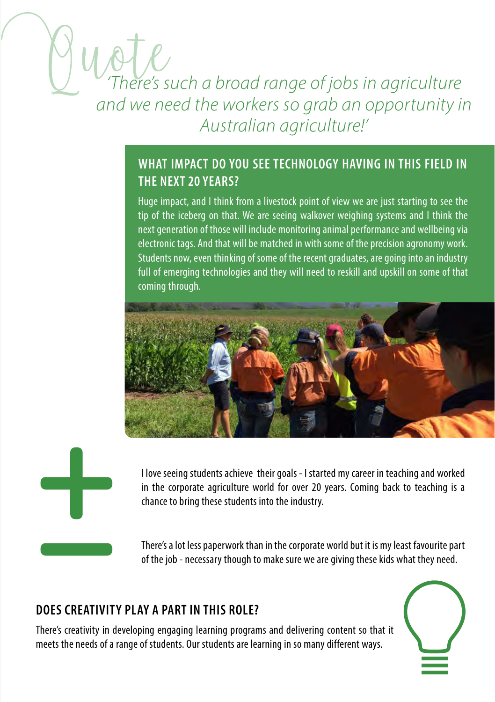### *'There's such a broad range of jobs in agriculture and we need the workers so grab an opportunity in Australian agriculture!'*

#### **WHAT IMPACT DO YOU SEE TECHNOLOGY HAVING IN THIS FIELD IN THE NEXT 20 YEARS?**

Huge impact, and I think from a livestock point of view we are just starting to see the tip of the iceberg on that. We are seeing walkover weighing systems and I think the next generation of those will include monitoring animal performance and wellbeing via electronic tags. And that will be matched in with some of the precision agronomy work. Students now, even thinking of some of the recent graduates, are going into an industry full of emerging technologies and they will need to reskill and upskill on some of that coming through.





I love seeing students achieve their goals - I started my career in teaching and worked in the corporate agriculture world for over 20 years. Coming back to teaching is a chance to bring these students into the industry.

There's a lot less paperwork than in the corporate world but it is my least favourite part of the job - necessary though to make sure we are giving these kids what they need.

#### **DOES CREATIVITY PLAY A PART IN THIS ROLE?**

There's creativity in developing engaging learning programs and delivering content so that it meets the needs of a range of students. Our students are learning in so many different ways.